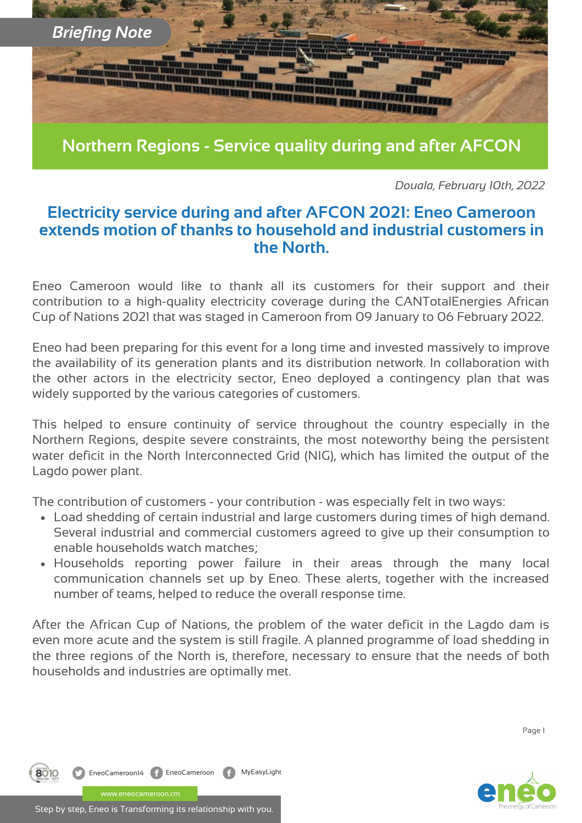

**Northern Regions - Service quality during and after AFCON**

*Douala, February 10th, 2022*

## **Electricity service during and after AFCON 2021: Eneo Cameroon extends motion of thanks to household and industrial customers in the North.**

Eneo Cameroon would like to thank all its customers for their support and their contribution to a high-quality electricity coverage during the CANTotalEnergies African Cup of Nations 2021 that was staged in Cameroon from 09 January to 06 February 2022.

Eneo had been preparing for this event for a long time and invested massively to improve the availability of its generation plants and its distribution network. In collaboration with the other actors in the electricity sector, Eneo deployed a contingency plan that was widely supported by the various categories of customers.

This helped to ensure continuity of service throughout the country especially in the Northern Regions, despite severe constraints, the most noteworthy being the persistent water deficit in the North Interconnected Grid (NIG), which has limited the output of the Lagdo power plant.

The contribution of customers - your contribution - was especially felt in two ways:

- Load shedding of certain industrial and large customers during times of high demand. Several industrial and commercial customers agreed to give up their consumption to enable households watch matches;
- Households reporting power failure in their areas through the many local communication channels set up by Eneo. These alerts, together with the increased number of teams, helped to reduce the overall response time.

After the African Cup of Nations, the problem of the water deficit in the Lagdo dam is even more acute and the system is still fragile. A planned programme of load shedding in the three regions of the North is, therefore, necessary to ensure that the needs of both households and industries are optimally met.

Page 1